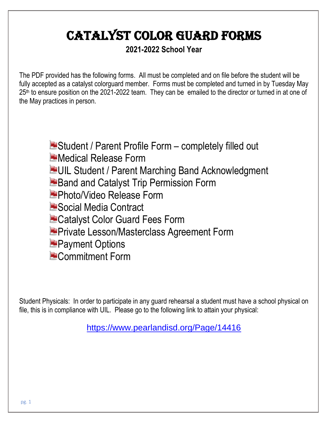# Catalyst Color Guard Forms

## **2021-2022 School Year**

The PDF provided has the following forms. All must be completed and on file before the student will be fully accepted as a catalyst colorguard member. Forms must be completed and turned in by Tuesday May 25<sup>th</sup> to ensure position on the 2021-2022 team. They can be emailed to the director or turned in at one of the May practices in person.

> **E** Student / Parent Profile Form – completely filled out Medical Release Form **EUIL Student / Parent Marching Band Acknowledgment Band and Catalyst Trip Permission Form** Photo/Video Release Form **E** Social Media Contract **E** Catalyst Color Guard Fees Form **P** Private Lesson/Masterclass Agreement Form **Payment Options Commitment Form**

Student Physicals: In order to participate in any guard rehearsal a student must have a school physical on file, this is in compliance with UIL. Please go to the following link to attain your physical:

<https://www.pearlandisd.org/Page/14416>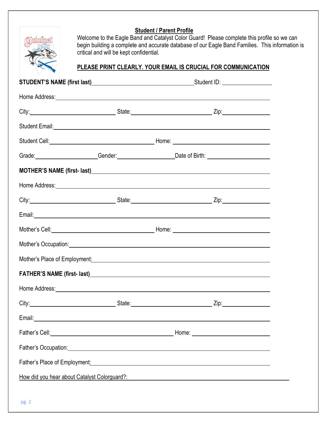#### **Student / Parent Profile**



Welcome to the Eagle Band and Catalyst Color Guard! Please complete this profile so we can begin building a complete and accurate database of our Eagle Band Families. This information is critical and will be kept confidential.

#### **PLEASE PRINT CLEARLY. YOUR EMAIL IS CRUCIAL FOR COMMUNICATION**

| Home Address: <u>example and a series of the series of the series of the series of the series of the series of the series of the series of the series of the series of the series of the series of the series of the series of t</u> |  |  |  |  |  |
|--------------------------------------------------------------------------------------------------------------------------------------------------------------------------------------------------------------------------------------|--|--|--|--|--|
|                                                                                                                                                                                                                                      |  |  |  |  |  |
| Student Email: <u>Contract Communications</u> Contract Communication Communications Communications Communications Communications Communications Communications Communications Communications Communications Communications Communic  |  |  |  |  |  |
| Student Cell: <u>Called and Collection Control Collection Collection Collection Collection Collection Collection Collection Collection Collection Collection Collection Collection Collection Collection Collection Collection C</u> |  |  |  |  |  |
| Grade: Constant Conder: Conder: Conder: Date of Birth: Constant Conder Conder Conder Conder Conder Conder Cond                                                                                                                       |  |  |  |  |  |
|                                                                                                                                                                                                                                      |  |  |  |  |  |
| Home Address: <u>Alexander Communication</u> Communication of the Communication Communication Communication Communication                                                                                                            |  |  |  |  |  |
|                                                                                                                                                                                                                                      |  |  |  |  |  |
|                                                                                                                                                                                                                                      |  |  |  |  |  |
|                                                                                                                                                                                                                                      |  |  |  |  |  |
| Mother's Occupation: Mother's Occupation:                                                                                                                                                                                            |  |  |  |  |  |
| Mother's Place of Employment: Manual Content of the Content of The Content of The Content of The Content of Th                                                                                                                       |  |  |  |  |  |
|                                                                                                                                                                                                                                      |  |  |  |  |  |
| Home Address: <u>example and a series of the series of the series of the series of the series of the series of the series of the series of the series of the series of the series of the series of the series of the series of t</u> |  |  |  |  |  |
|                                                                                                                                                                                                                                      |  |  |  |  |  |
| Email:<br><u> 1989 - Johann John Stein, markin fan it fjort fan de ferstjer fan de ferstjer fan de ferstjer fan de ferstje</u>                                                                                                       |  |  |  |  |  |
|                                                                                                                                                                                                                                      |  |  |  |  |  |
| Father's Occupation: <u>contract the contract of the contract of the contract of the contract of the contract of</u>                                                                                                                 |  |  |  |  |  |
| Father's Place of Employment: Manual Communication of the Communication of the Communication of the Communication of the Communication of the Communication of the Communication of the Communication of the Communication of        |  |  |  |  |  |
| How did you hear about Catalyst Colorguard?: Next Assembly and the state of the state of the state of the state of the state of the state of the state of the state of the state of the state of the state of the state of the       |  |  |  |  |  |
|                                                                                                                                                                                                                                      |  |  |  |  |  |
| pg. 2                                                                                                                                                                                                                                |  |  |  |  |  |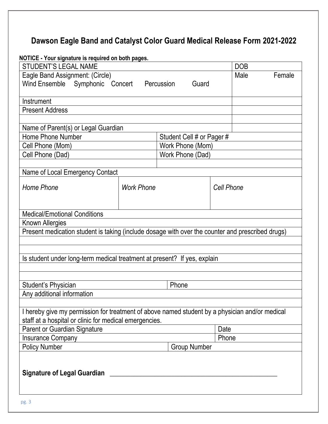## **Dawson Eagle Band and Catalyst Color Guard Medical Release Form 2021-2022**

**NOTICE - Your signature is required on both pages.**

| <b>TIVE TOUR SIGNALISTS TO REQUIRE ON DOCK Pages.</b><br><b>STUDENT'S LEGAL NAME</b>             |                     |                           |            | <b>DOB</b> |        |  |
|--------------------------------------------------------------------------------------------------|---------------------|---------------------------|------------|------------|--------|--|
| Eagle Band Assignment: (Circle)                                                                  |                     |                           |            | Male       | Female |  |
| Wind Ensemble Symphonic Concert Percussion                                                       |                     | Guard                     |            |            |        |  |
|                                                                                                  |                     |                           |            |            |        |  |
| Instrument                                                                                       |                     |                           |            |            |        |  |
| <b>Present Address</b>                                                                           |                     |                           |            |            |        |  |
|                                                                                                  |                     |                           |            |            |        |  |
| Name of Parent(s) or Legal Guardian                                                              |                     |                           |            |            |        |  |
| Home Phone Number                                                                                |                     | Student Cell # or Pager # |            |            |        |  |
| Cell Phone (Mom)                                                                                 |                     | Work Phone (Mom)          |            |            |        |  |
| Cell Phone (Dad)                                                                                 |                     | Work Phone (Dad)          |            |            |        |  |
|                                                                                                  |                     |                           |            |            |        |  |
| Name of Local Emergency Contact                                                                  |                     |                           |            |            |        |  |
|                                                                                                  |                     |                           |            |            |        |  |
| <b>Home Phone</b>                                                                                | <b>Work Phone</b>   |                           | Cell Phone |            |        |  |
|                                                                                                  |                     |                           |            |            |        |  |
|                                                                                                  |                     |                           |            |            |        |  |
| <b>Medical/Emotional Conditions</b>                                                              |                     |                           |            |            |        |  |
| Known Allergies                                                                                  |                     |                           |            |            |        |  |
| Present medication student is taking (include dosage with over the counter and prescribed drugs) |                     |                           |            |            |        |  |
|                                                                                                  |                     |                           |            |            |        |  |
|                                                                                                  |                     |                           |            |            |        |  |
| Is student under long-term medical treatment at present? If yes, explain                         |                     |                           |            |            |        |  |
|                                                                                                  |                     |                           |            |            |        |  |
|                                                                                                  |                     |                           |            |            |        |  |
| Student's Physician<br>Phone                                                                     |                     |                           |            |            |        |  |
| Any additional information                                                                       |                     |                           |            |            |        |  |
|                                                                                                  |                     |                           |            |            |        |  |
| I hereby give my permission for treatment of above named student by a physician and/or medical   |                     |                           |            |            |        |  |
| staff at a hospital or clinic for medical emergencies.                                           |                     |                           |            |            |        |  |
| <b>Parent or Guardian Signature</b>                                                              |                     |                           | Date       |            |        |  |
| <b>Insurance Company</b>                                                                         |                     |                           | Phone      |            |        |  |
| <b>Policy Number</b>                                                                             | <b>Group Number</b> |                           |            |            |        |  |
|                                                                                                  |                     |                           |            |            |        |  |
|                                                                                                  |                     |                           |            |            |        |  |
| <b>Signature of Legal Guardian</b>                                                               |                     |                           |            |            |        |  |
|                                                                                                  |                     |                           |            |            |        |  |
|                                                                                                  |                     |                           |            |            |        |  |
| pg. 3                                                                                            |                     |                           |            |            |        |  |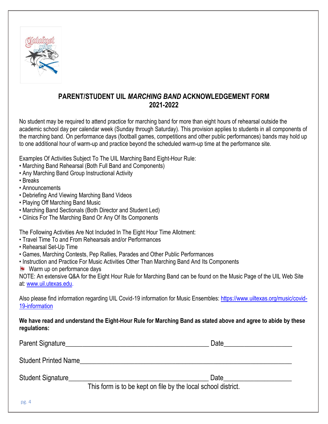

## **PARENT/STUDENT UIL** *MARCHING BAND* **ACKNOWLEDGEMENT FORM 2021-2022**

No student may be required to attend practice for marching band for more than eight hours of rehearsal outside the academic school day per calendar week (Sunday through Saturday). This provision applies to students in all components of the marching band. On performance days (football games, competitions and other public performances) bands may hold up to one additional hour of warm-up and practice beyond the scheduled warm-up time at the performance site.

Examples Of Activities Subject To The UIL Marching Band Eight-Hour Rule:

- Marching Band Rehearsal (Both Full Band and Components)
- Any Marching Band Group Instructional Activity
- Breaks
- Announcements
- Debriefing And Viewing Marching Band Videos
- Playing Off Marching Band Music
- Marching Band Sectionals (Both Director and Student Led)
- Clinics For The Marching Band Or Any Of Its Components

The Following Activities Are Not Included In The Eight Hour Time Allotment:

- Travel Time To and From Rehearsals and/or Performances
- Rehearsal Set-Up Time
- Games, Marching Contests, Pep Rallies, Parades and Other Public Performances
- Instruction and Practice For Music Activities Other Than Marching Band And Its Components
- Warm up on performance days

NOTE: An extensive Q&A for the Eight Hour Rule for Marching Band can be found on the Music Page of the UIL Web Site at: [www.uil.utexas.edu.](http://www.uil.utexas.edu/)

Also please find information regarding UIL Covid-19 information for Music Ensembles: [https://www.uiltexas.org/music/covid-](https://www.uiltexas.org/music/covid-19-information)[19-information](https://www.uiltexas.org/music/covid-19-information)

**We have read and understand the Eight-Hour Rule for Marching Band as stated above and agree to abide by these regulations:**

| Parent Signature            | Date                                                          |
|-----------------------------|---------------------------------------------------------------|
| <b>Student Printed Name</b> |                                                               |
| Student Signature           | Date                                                          |
| $- - 1$                     | This form is to be kept on file by the local school district. |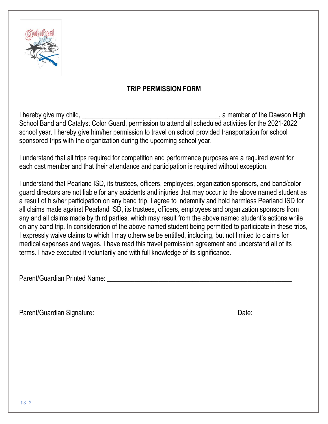

## **TRIP PERMISSION FORM**

I hereby give my child, \_\_\_\_\_\_\_\_\_\_\_\_\_\_\_\_\_\_\_\_\_\_\_\_\_\_\_\_\_\_\_\_\_\_\_\_\_\_\_\_, a member of the Dawson High School Band and Catalyst Color Guard, permission to attend all scheduled activities for the 2021-2022 school year. I hereby give him/her permission to travel on school provided transportation for school sponsored trips with the organization during the upcoming school year.

I understand that all trips required for competition and performance purposes are a required event for each cast member and that their attendance and participation is required without exception.

I understand that Pearland ISD, its trustees, officers, employees, organization sponsors, and band/color guard directors are not liable for any accidents and injuries that may occur to the above named student as a result of his/her participation on any band trip. I agree to indemnify and hold harmless Pearland ISD for all claims made against Pearland ISD, its trustees, officers, employees and organization sponsors from any and all claims made by third parties, which may result from the above named student's actions while on any band trip. In consideration of the above named student being permitted to participate in these trips, I expressly waive claims to which I may otherwise be entitled, including, but not limited to claims for medical expenses and wages. I have read this travel permission agreement and understand all of its terms. I have executed it voluntarily and with full knowledge of its significance.

Parent/Guardian Printed Name: **Example 2018** 

Parent/Guardian Signature: \_\_\_\_\_\_\_\_\_\_\_\_\_\_\_\_\_\_\_\_\_\_\_\_\_\_\_\_\_\_\_\_\_\_\_\_\_\_\_\_\_ Date: \_\_\_\_\_\_\_\_\_\_\_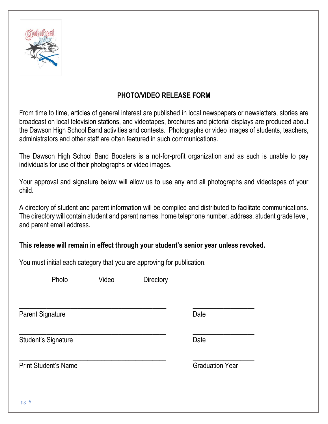

## **PHOTO/VIDEO RELEASE FORM**

From time to time, articles of general interest are published in local newspapers or newsletters, stories are broadcast on local television stations, and videotapes, brochures and pictorial displays are produced about the Dawson High School Band activities and contests. Photographs or video images of students, teachers, administrators and other staff are often featured in such communications.

The Dawson High School Band Boosters is a not-for-profit organization and as such is unable to pay individuals for use of their photographs or video images.

Your approval and signature below will allow us to use any and all photographs and videotapes of your child.

A directory of student and parent information will be compiled and distributed to facilitate communications. The directory will contain student and parent names, home telephone number, address, student grade level, and parent email address.

### **This release will remain in effect through your student's senior year unless revoked.**

 $\frac{1}{2}$  , and the set of the set of the set of the set of the set of the set of the set of the set of the set of the set of the set of the set of the set of the set of the set of the set of the set of the set of the set

 $\frac{1}{2}$  , and the set of the set of the set of the set of the set of the set of the set of the set of the set of the set of the set of the set of the set of the set of the set of the set of the set of the set of the set

 $\frac{1}{2}$  , the contribution of the contribution of the contribution of the contribution of the contribution of the contribution of the contribution of the contribution of the contribution of the contribution of the contr

You must initial each category that you are approving for publication.

Photo  $V$ ideo Directory

Parent Signature Date

Student's Signature Date

Print Student's Name Graduation Year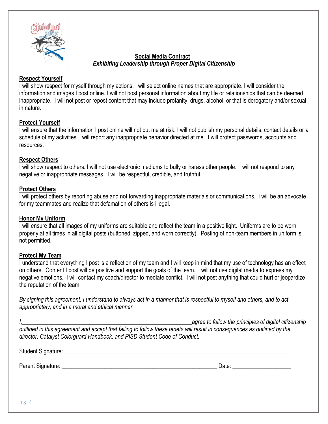

#### **Social Media Contract** *Exhibiting Leadership through Proper Digital Citizenship*

#### **Respect Yourself**

I will show respect for myself through my actions. I will select online names that are appropriate. I will consider the information and images I post online. I will not post personal information about my life or relationships that can be deemed inappropriate. I will not post or repost content that may include profanity, drugs, alcohol, or that is derogatory and/or sexual in nature.

#### **Protect Yourself**

I will ensure that the information I post online will not put me at risk. I will not publish my personal details, contact details or a schedule of my activities. I will report any inappropriate behavior directed at me. I will protect passwords, accounts and resources.

#### **Respect Others**

I will show respect to others. I will not use electronic mediums to bully or harass other people. I will not respond to any negative or inappropriate messages. I will be respectful, credible, and truthful.

#### **Protect Others**

I will protect others by reporting abuse and not forwarding inappropriate materials or communications. I will be an advocate for my teammates and realize that defamation of others is illegal.

#### **Honor My Uniform**

I will ensure that all images of my uniforms are suitable and reflect the team in a positive light. Uniforms are to be worn properly at all times in all digital posts (buttoned, zipped, and worn correctly). Posting of non-team members in uniform is not permitted.

#### **Protect My Team**

I understand that everything I post is a reflection of my team and I will keep in mind that my use of technology has an effect on others. Content I post will be positive and support the goals of the team. I will not use digital media to express my negative emotions. I will contact my coach/director to mediate conflict. I will not post anything that could hurt or jeopardize the reputation of the team.

*By signing this agreement, I understand to always act in a manner that is respectful to myself and others, and to act appropriately, and in a moral and ethical manner.*

*I,\_\_\_\_\_\_\_\_\_\_\_\_\_\_\_\_\_\_\_\_\_\_\_\_\_\_\_\_\_\_\_\_\_\_\_\_\_\_\_\_\_\_\_\_\_\_\_\_\_\_\_\_\_\_\_\_\_\_agree to follow the principles of digital citizenship outlined in this agreement and accept that failing to follow these tenets will result in consequences as outlined by the director, Catalyst Colorguard Handbook, and PISD Student Code of Conduct.*

Student Signature:  $\Box$ 

Parent Signature: \_\_\_\_\_\_\_\_\_\_\_\_\_\_\_\_\_\_\_\_\_\_\_\_\_\_\_\_\_\_\_\_\_\_\_\_\_\_\_\_\_\_\_\_\_\_\_\_\_\_\_\_\_ Date: \_\_\_\_\_\_\_\_\_\_\_\_\_\_\_\_\_\_\_\_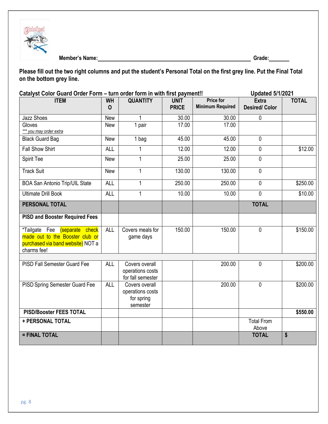

**Member's Name: Grade:**

**Please fill out the two right columns and put the student's Personal Total on the first grey line. Put the Final Total on the bottom grey line.** 

|                                                                                                                      | Catalyst Color Guard Order Form - turn order form in with first payment!! |                                                              |                             |                                             | <b>Updated 5/1/2021</b>              |              |
|----------------------------------------------------------------------------------------------------------------------|---------------------------------------------------------------------------|--------------------------------------------------------------|-----------------------------|---------------------------------------------|--------------------------------------|--------------|
| <b>ITEM</b>                                                                                                          | <b>WH</b><br>$\mathbf 0$                                                  | <b>QUANTITY</b>                                              | <b>UNIT</b><br><b>PRICE</b> | <b>Price for</b><br><b>Minimum Required</b> | <b>Extra</b><br><b>Desired/Color</b> | <b>TOTAL</b> |
| <b>Jazz Shoes</b>                                                                                                    | New                                                                       |                                                              | 30.00                       | 30.00                                       | $\mathbf 0$                          |              |
| Gloves<br>*** you may order extra                                                                                    | New                                                                       | 1 pair                                                       | 17.00                       | 17.00                                       |                                      |              |
| <b>Black Guard Bag</b>                                                                                               | New                                                                       | 1 bag                                                        | 45.00                       | 45.00                                       | $\mathbf 0$                          |              |
| <b>Fall Show Shirt</b>                                                                                               | <b>ALL</b>                                                                | 1                                                            | 12.00                       | 12.00                                       | $\mathbf 0$                          | \$12.00      |
| Spirit Tee                                                                                                           | <b>New</b>                                                                | $\mathbf{1}$                                                 | 25.00                       | 25.00                                       | $\mathbf{0}$                         |              |
| <b>Track Suit</b>                                                                                                    | New                                                                       | $\mathbf{1}$                                                 | 130.00                      | 130.00                                      | $\mathbf 0$                          |              |
| <b>BOA San Antonio Trip/UIL State</b>                                                                                | <b>ALL</b>                                                                | $\mathbf{1}$                                                 | 250.00                      | 250.00                                      | $\mathbf 0$                          | \$250.00     |
| <b>Ultimate Drill Book</b>                                                                                           | <b>ALL</b>                                                                | 1                                                            | 10.00                       | 10.00                                       | $\mathbf{0}$                         | \$10.00      |
| PERSONAL TOTAL                                                                                                       |                                                                           |                                                              |                             |                                             | <b>TOTAL</b>                         |              |
| <b>PISD and Booster Required Fees</b>                                                                                |                                                                           |                                                              |                             |                                             |                                      |              |
| *Tailgate Fee (separate check<br>made out to the Booster club or<br>purchased via band website) NOT a<br>charms fee! | <b>ALL</b>                                                                | Covers meals for<br>game days                                | 150.00                      | 150.00                                      | $\mathbf 0$                          | \$150.00     |
|                                                                                                                      |                                                                           |                                                              |                             |                                             |                                      |              |
| PISD Fall Semester Guard Fee                                                                                         | <b>ALL</b>                                                                | Covers overall<br>operations costs<br>for fall semester      |                             | 200.00                                      | $\mathbf 0$                          | \$200.00     |
| PISD Spring Semester Guard Fee                                                                                       | <b>ALL</b>                                                                | Covers overall<br>operations costs<br>for spring<br>semester |                             | 200.00                                      | $\mathbf 0$                          | \$200.00     |
| <b>PISD/Booster FEES TOTAL</b>                                                                                       |                                                                           |                                                              |                             |                                             |                                      | \$550.00     |
| + PERSONAL TOTAL                                                                                                     |                                                                           |                                                              |                             |                                             | <b>Total From</b><br>Above           |              |
| = FINAL TOTAL                                                                                                        |                                                                           |                                                              |                             |                                             | <b>TOTAL</b>                         | \$           |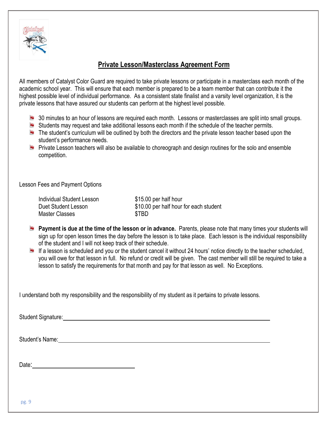

## **Private Lesson/Masterclass Agreement Form**

All members of Catalyst Color Guard are required to take private lessons or participate in a masterclass each month of the academic school year. This will ensure that each member is prepared to be a team member that can contribute it the highest possible level of individual performance. As a consistent state finalist and a varsity level organization, it is the private lessons that have assured our students can perform at the highest level possible.

- 30 minutes to an hour of lessons are required each month. Lessons or masterclasses are split into small groups.
- Students may request and take additional lessons each month if the schedule of the teacher permits.
- $\blacksquare$  The student's curriculum will be outlined by both the directors and the private lesson teacher based upon the student's performance needs.
- **Private Lesson teachers will also be available to choreograph and design routines for the solo and ensemble** competition.

Lesson Fees and Payment Options

| <b>Individual Student Lesson</b> | \$15.00 per half hour                  |
|----------------------------------|----------------------------------------|
| Duet Student Lesson              | \$10.00 per half hour for each student |
| Master Classes                   | \$TBD                                  |

- **Payment is due at the time of the lesson or in advance.** Parents, please note that many times your students will sign up for open lesson times the day before the lesson is to take place. Each lesson is the individual responsibility of the student and I will not keep track of their schedule.
- If a lesson is scheduled and you or the student cancel it without 24 hours' notice directly to the teacher scheduled, you will owe for that lesson in full. No refund or credit will be given. The cast member will still be required to take a lesson to satisfy the requirements for that month and pay for that lesson as well. No Exceptions.

I understand both my responsibility and the responsibility of my student as it pertains to private lessons.

Student Signature:

Student's Name: The contract of the contract of the contract of the contract of the contract of the contract of the contract of the contract of the contract of the contract of the contract of the contract of the contract o

Date: **Date: Date: Date: Date: Date: Date: Date: Date: Date: Date: Date: Date: Date: Date: Date: Date: Date: Date: Date: Date: Date: Date: Date: Date: Date: Date: Date:**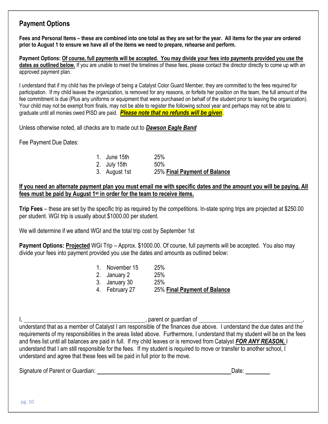## **Payment Options**

**Fees and Personal Items – these are combined into one total as they are set for the year. All items for the year are ordered prior to August 1 to ensure we have all of the items we need to prepare, rehearse and perform.**

**Payment Options: Of course, full payments will be accepted. You may divide your fees into payments provided you use the**  dates as outlined below. If you are unable to meet the timelines of these fees, please contact the director directly to come up with an approved payment plan.

I understand that if my child has the privilege of being a Catalyst Color Guard Member, they are committed to the fees required for participation. If my child leaves the organization, is removed for any reasons, or forfeits her position on the team, the full amount of the fee commitment is due (Plus any uniforms or equipment that were purchased on behalf of the student prior to leaving the organization). Your child may not be exempt from finals, may not be able to register the following school year and perhaps may not be able to graduate until all monies owed PISD are paid. *Please note that no refunds will be given*.

Unless otherwise noted, all checks are to made out to *Dawson Eagle Band*

Fee Payment Due Dates:

1. June 15th 25% 2. July 15th 50% 3. August 1st 25% **Final Payment of Balance**

#### **If you need an alternate payment plan you must email me with specific dates and the amount you will be paying. All fees must be paid by August 1st in order for the team to receive items.**

**Trip Fees** – these are set by the specific trip as required by the competitions. In-state spring trips are projected at \$250.00 per student. WGI trip is usually about \$1000.00 per student.

We will determine if we attend WGI and the total trip cost by September 1st

**Payment Options: Projected** WGI Trip – Approx. \$1000.00. Of course, full payments will be accepted. You also may divide your fees into payment provided you use the dates and amounts as outlined below:

> 1. November 15 25% 2. January 2 25% 3. January 30 25% 4. February 27 25% **Final Payment of Balance**

I, , parent or guardian of ,

understand that as a member of Catalyst I am responsible of the finances due above. I understand the due dates and the requirements of my responsibilities in the areas listed above. Furthermore, I understand that my student will be on the fees and fines list until all balances are paid in full. If my child leaves or is removed from Catalyst *FOR ANY REASON,* I understand that I am still responsible for the fees. If my student is required to move or transfer to another school, I understand and agree that these fees will be paid in full prior to the move.

Signature of Parent or Guardian: Date: Date: Date: Date: Date: Date: Date: Date: Date: Date: Date: Date: Date: Date: Date: Date: Date: Date: Date: Date: Date: Date: Date: Date: Date: Date: Date: Date: Date: Date: Date: Dat